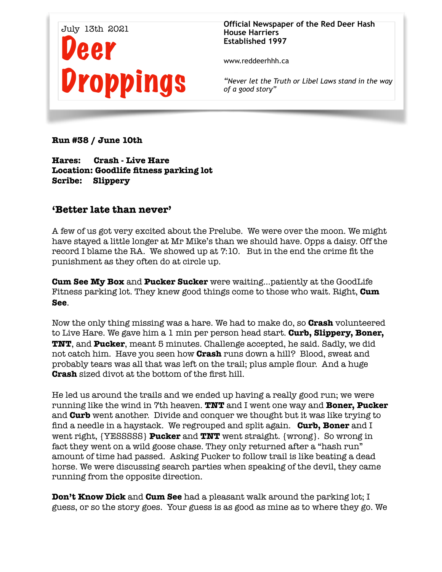

**Official Newspaper of the Red Deer Hash House Harriers Established 1997** 

www.reddeerhhh.ca

*"Never let the Truth or Libel Laws stand in the way of a good story"*

**Run #38 / June 10th** 

**Hares: Crash - Live Hare Location: Goodlife fitness parking lot Scribe: Slippery** 

## **'Better late than never'**

A few of us got very excited about the Prelube. We were over the moon. We might have stayed a little longer at Mr Mike's than we should have. Opps a daisy. Off the record I blame the RA. We showed up at 7:10. But in the end the crime fit the punishment as they often do at circle up.

**Cum See My Box** and **Pucker Sucker** were waiting...patiently at the GoodLife Fitness parking lot. They knew good things come to those who wait. Right, **Cum See**.

Now the only thing missing was a hare. We had to make do, so **Crash** volunteered to Live Hare. We gave him a 1 min per person head start. **Curb, Slippery, Boner, TNT**, and **Pucker**, meant 5 minutes. Challenge accepted, he said. Sadly, we did not catch him. Have you seen how **Crash** runs down a hill? Blood, sweat and probably tears was all that was left on the trail; plus ample flour. And a huge **Crash** sized divot at the bottom of the first hill.

He led us around the trails and we ended up having a really good run; we were running like the wind in 7th heaven. **TNT** and I went one way and **Boner, Pucker** and **Curb** went another. Divide and conquer we thought but it was like trying to find a needle in a haystack. We regrouped and split again. **Curb, Boner** and I went right, {YESSSSS} **Pucker** and **TNT** went straight. {wrong}. So wrong in fact they went on a wild goose chase. They only returned after a "hash run" amount of time had passed. Asking Pucker to follow trail is like beating a dead horse. We were discussing search parties when speaking of the devil, they came running from the opposite direction.

**Don't Know Dick** and **Cum See** had a pleasant walk around the parking lot; I guess, or so the story goes. Your guess is as good as mine as to where they go. We